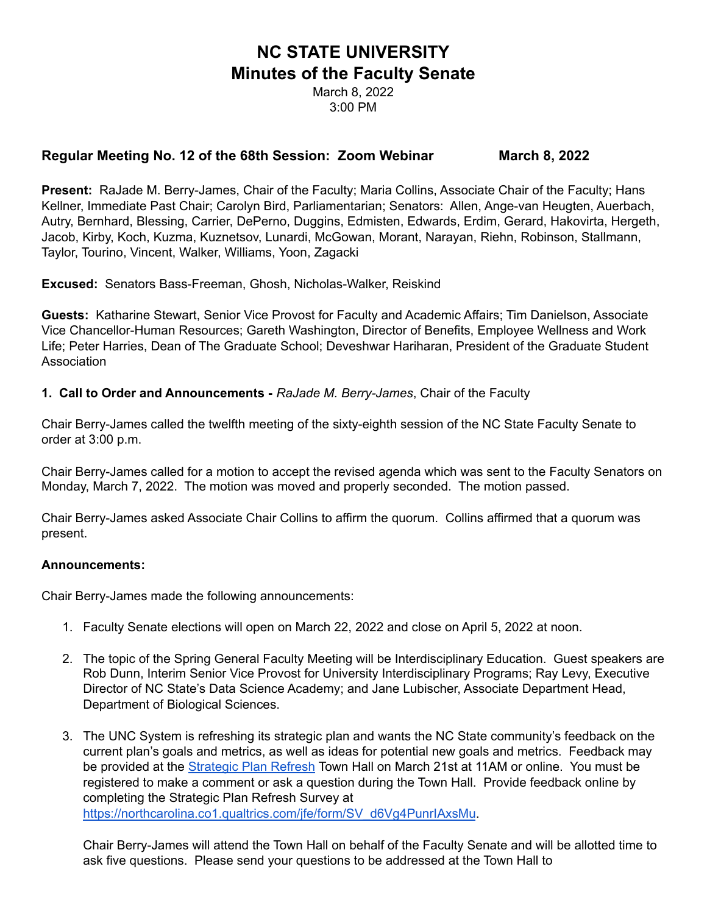# **NC STATE UNIVERSITY Minutes of the Faculty Senate**

March 8, 2022 3:00 PM

## **Regular Meeting No. 12 of the 68th Session: Zoom Webinar March 8, 2022**

**Present:** RaJade M. Berry-James, Chair of the Faculty; Maria Collins, Associate Chair of the Faculty; Hans Kellner, Immediate Past Chair; Carolyn Bird, Parliamentarian; Senators: Allen, Ange-van Heugten, Auerbach, Autry, Bernhard, Blessing, Carrier, DePerno, Duggins, Edmisten, Edwards, Erdim, Gerard, Hakovirta, Hergeth, Jacob, Kirby, Koch, Kuzma, Kuznetsov, Lunardi, McGowan, Morant, Narayan, Riehn, Robinson, Stallmann, Taylor, Tourino, Vincent, Walker, Williams, Yoon, Zagacki

**Excused:** Senators Bass-Freeman, Ghosh, Nicholas-Walker, Reiskind

**Guests:** Katharine Stewart, Senior Vice Provost for Faculty and Academic Affairs; Tim Danielson, Associate Vice Chancellor-Human Resources; Gareth Washington, Director of Benefits, Employee Wellness and Work Life; Peter Harries, Dean of The Graduate School; Deveshwar Hariharan, President of the Graduate Student **Association** 

**1. Call to Order and Announcements -** *RaJade M. Berry-James*, Chair of the Faculty

Chair Berry-James called the twelfth meeting of the sixty-eighth session of the NC State Faculty Senate to order at 3:00 p.m.

Chair Berry-James called for a motion to accept the revised agenda which was sent to the Faculty Senators on Monday, March 7, 2022. The motion was moved and properly seconded. The motion passed.

Chair Berry-James asked Associate Chair Collins to affirm the quorum. Collins affirmed that a quorum was present.

#### **Announcements:**

Chair Berry-James made the following announcements:

- 1. Faculty Senate elections will open on March 22, 2022 and close on April 5, 2022 at noon.
- 2. The topic of the Spring General Faculty Meeting will be Interdisciplinary Education. Guest speakers are Rob Dunn, Interim Senior Vice Provost for University Interdisciplinary Programs; Ray Levy, Executive Director of NC State's Data Science Academy; and Jane Lubischer, Associate Department Head, Department of Biological Sciences.
- 3. The UNC System is refreshing its strategic plan and wants the NC State community's feedback on the current plan's goals and metrics, as well as ideas for potential new goals and metrics. Feedback may be provided at the [Strategic](https://www.northcarolina.edu/strategic-plan-2022/) Plan Refresh Town Hall on March 21st at 11AM or online. You must be registered to make a comment or ask a question during the Town Hall. Provide feedback online by completing the Strategic Plan Refresh Survey at [https://northcarolina.co1.qualtrics.com/jfe/form/SV\\_d6Vg4PunrIAxsMu](https://northcarolina.co1.qualtrics.com/jfe/form/SV_d6Vg4PunrIAxsMu?utm_source=All+Active+Employees+-+Mar+2022+List&utm_campaign=538b77d72f-EMAIL_CAMPAIGN_2022_03_08_03_28&utm_medium=email&utm_term=0_4a62d9df45-538b77d72f-106102905).

Chair Berry-James will attend the Town Hall on behalf of the Faculty Senate and will be allotted time to ask five questions. Please send your questions to be addressed at the Town Hall to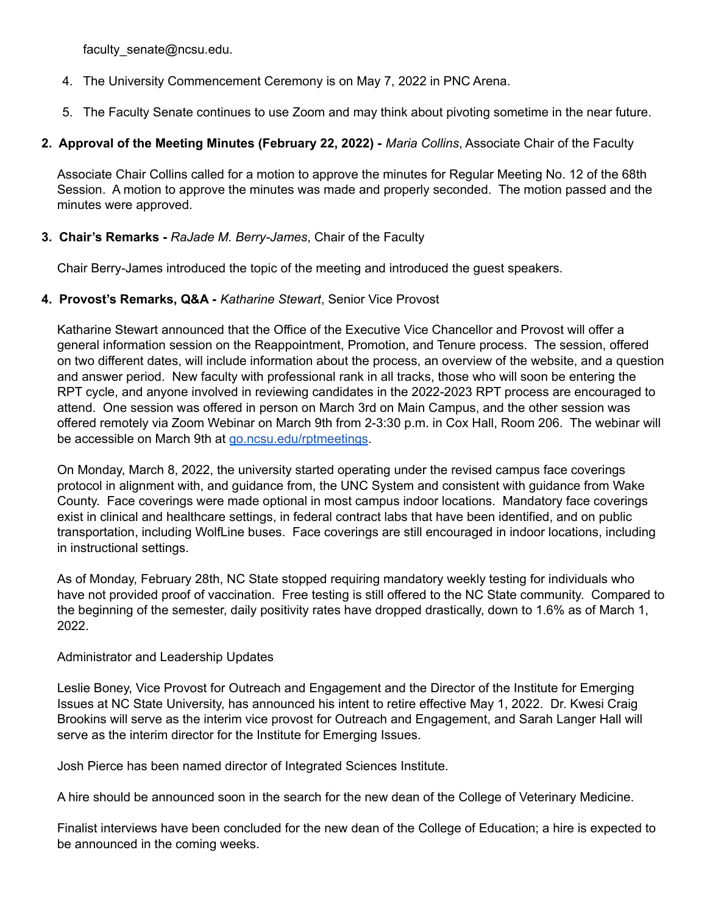faculty\_senate@ncsu.edu.

- 4. The University Commencement Ceremony is on May 7, 2022 in PNC Arena.
- 5. The Faculty Senate continues to use Zoom and may think about pivoting sometime in the near future.

## **2. Approval of the Meeting Minutes (February 22, 2022) -** *Maria Collins*, Associate Chair of the Faculty

Associate Chair Collins called for a motion to approve the minutes for Regular Meeting No. 12 of the 68th Session. A motion to approve the minutes was made and properly seconded. The motion passed and the minutes were approved.

## **3. Chair's Remarks -** *RaJade M. Berry-James*, Chair of the Faculty

Chair Berry-James introduced the topic of the meeting and introduced the guest speakers.

#### **4. Provost's Remarks, Q&A -** *Katharine Stewart*, Senior Vice Provost

Katharine Stewart announced that the Office of the Executive Vice Chancellor and Provost will offer a general information session on the Reappointment, Promotion, and Tenure process. The session, offered on two different dates, will include information about the process, an overview of the website, and a question and answer period. New faculty with professional rank in all tracks, those who will soon be entering the RPT cycle, and anyone involved in reviewing candidates in the 2022-2023 RPT process are encouraged to attend. One session was offered in person on March 3rd on Main Campus, and the other session was offered remotely via Zoom Webinar on March 9th from 2-3:30 p.m. in Cox Hall, Room 206. The webinar will be accessible on March 9th at [go.ncsu.edu/rptmeetings.](http://go.ncsu.edu/rptmeetings)

On Monday, March 8, 2022, the university started operating under the revised campus face coverings protocol in alignment with, and guidance from, the UNC System and consistent with guidance from Wake County. Face coverings were made optional in most campus indoor locations. Mandatory face coverings exist in clinical and healthcare settings, in federal contract labs that have been identified, and on public transportation, including WolfLine buses. Face coverings are still encouraged in indoor locations, including in instructional settings.

As of Monday, February 28th, NC State stopped requiring mandatory weekly testing for individuals who have not provided proof of vaccination. Free testing is still offered to the NC State community. Compared to the beginning of the semester, daily positivity rates have dropped drastically, down to 1.6% as of March 1, 2022.

#### Administrator and Leadership Updates

Leslie Boney, Vice Provost for Outreach and Engagement and the Director of the Institute for Emerging Issues at NC State University, has announced his intent to retire effective May 1, 2022. Dr. Kwesi Craig Brookins will serve as the interim vice provost for Outreach and Engagement, and Sarah Langer Hall will serve as the interim director for the Institute for Emerging Issues.

Josh Pierce has been named director of Integrated Sciences Institute.

A hire should be announced soon in the search for the new dean of the College of Veterinary Medicine.

Finalist interviews have been concluded for the new dean of the College of Education; a hire is expected to be announced in the coming weeks.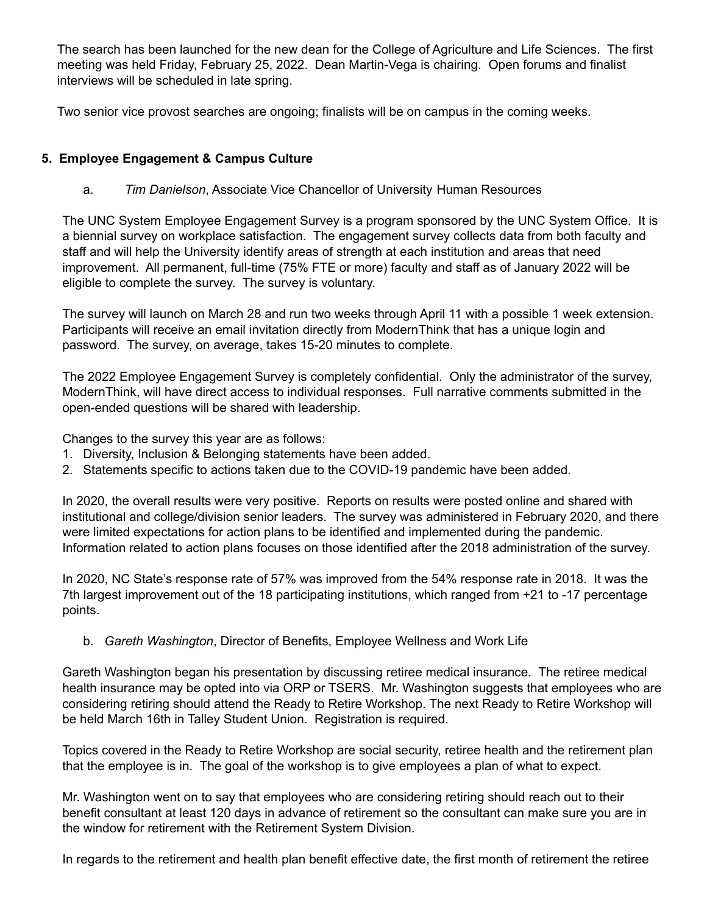The search has been launched for the new dean for the College of Agriculture and Life Sciences. The first meeting was held Friday, February 25, 2022. Dean Martin-Vega is chairing. Open forums and finalist interviews will be scheduled in late spring.

Two senior vice provost searches are ongoing; finalists will be on campus in the coming weeks.

## **5. Employee Engagement & Campus Culture**

a. *Tim Danielson*, Associate Vice Chancellor of University Human Resources

The UNC System Employee Engagement Survey is a program sponsored by the UNC System Office. It is a biennial survey on workplace satisfaction. The engagement survey collects data from both faculty and staff and will help the University identify areas of strength at each institution and areas that need improvement. All permanent, full-time (75% FTE or more) faculty and staff as of January 2022 will be eligible to complete the survey. The survey is voluntary.

The survey will launch on March 28 and run two weeks through April 11 with a possible 1 week extension. Participants will receive an email invitation directly from ModernThink that has a unique login and password. The survey, on average, takes 15-20 minutes to complete.

The 2022 Employee Engagement Survey is completely confidential. Only the administrator of the survey, ModernThink, will have direct access to individual responses. Full narrative comments submitted in the open-ended questions will be shared with leadership.

Changes to the survey this year are as follows:

- 1. Diversity, Inclusion & Belonging statements have been added.
- 2. Statements specific to actions taken due to the COVID-19 pandemic have been added.

In 2020, the overall results were very positive. Reports on results were posted online and shared with institutional and college/division senior leaders. The survey was administered in February 2020, and there were limited expectations for action plans to be identified and implemented during the pandemic. Information related to action plans focuses on those identified after the 2018 administration of the survey.

In 2020, NC State's response rate of 57% was improved from the 54% response rate in 2018. It was the 7th largest improvement out of the 18 participating institutions, which ranged from +21 to -17 percentage points.

b. *Gareth Washington*, Director of Benefits, Employee Wellness and Work Life

Gareth Washington began his presentation by discussing retiree medical insurance. The retiree medical health insurance may be opted into via ORP or TSERS. Mr. Washington suggests that employees who are considering retiring should attend the Ready to Retire Workshop. The next Ready to Retire Workshop will be held March 16th in Talley Student Union. Registration is required.

Topics covered in the Ready to Retire Workshop are social security, retiree health and the retirement plan that the employee is in. The goal of the workshop is to give employees a plan of what to expect.

Mr. Washington went on to say that employees who are considering retiring should reach out to their benefit consultant at least 120 days in advance of retirement so the consultant can make sure you are in the window for retirement with the Retirement System Division.

In regards to the retirement and health plan benefit effective date, the first month of retirement the retiree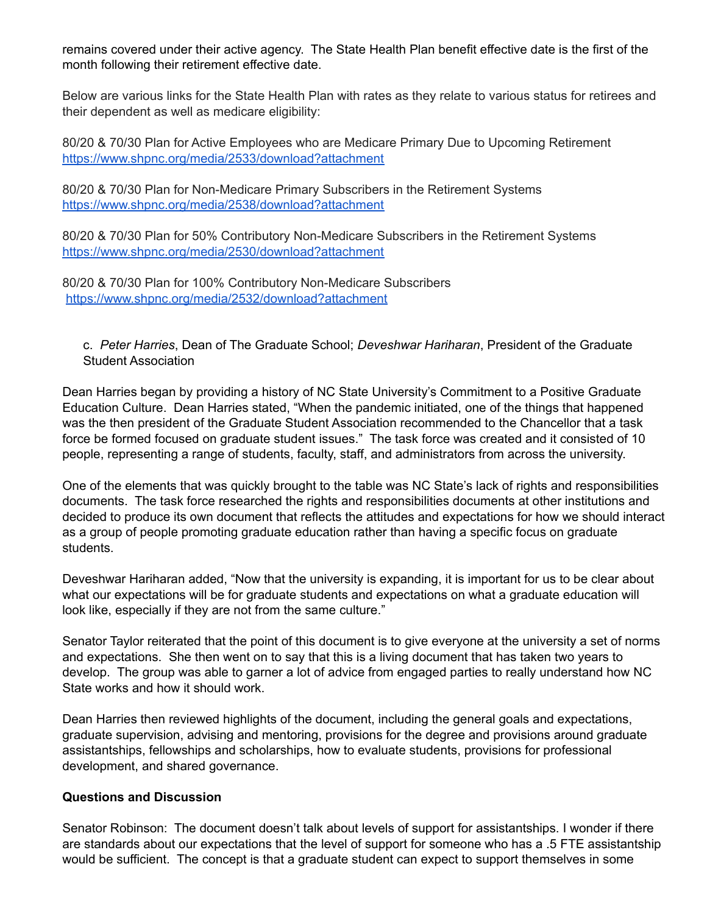remains covered under their active agency. The State Health Plan benefit effective date is the first of the month following their retirement effective date.

Below are various links for the State Health Plan with rates as they relate to various status for retirees and their dependent as well as medicare eligibility:

80/20 & 70/30 Plan for Active Employees who are Medicare Primary Due to Upcoming Retirement <https://www.shpnc.org/media/2533/download?attachment>

80/20 & 70/30 Plan for Non-Medicare Primary Subscribers in the Retirement Systems <https://www.shpnc.org/media/2538/download?attachment>

80/20 & 70/30 Plan for 50% Contributory Non-Medicare Subscribers in the Retirement Systems <https://www.shpnc.org/media/2530/download?attachment>

80/20 & 70/30 Plan for 100% Contributory Non-Medicare Subscribers <https://www.shpnc.org/media/2532/download?attachment>

c. *Peter Harries*, Dean of The Graduate School; *Deveshwar Hariharan*, President of the Graduate Student Association

Dean Harries began by providing a history of NC State University's Commitment to a Positive Graduate Education Culture. Dean Harries stated, "When the pandemic initiated, one of the things that happened was the then president of the Graduate Student Association recommended to the Chancellor that a task force be formed focused on graduate student issues." The task force was created and it consisted of 10 people, representing a range of students, faculty, staff, and administrators from across the university.

One of the elements that was quickly brought to the table was NC State's lack of rights and responsibilities documents. The task force researched the rights and responsibilities documents at other institutions and decided to produce its own document that reflects the attitudes and expectations for how we should interact as a group of people promoting graduate education rather than having a specific focus on graduate students.

Deveshwar Hariharan added, "Now that the university is expanding, it is important for us to be clear about what our expectations will be for graduate students and expectations on what a graduate education will look like, especially if they are not from the same culture."

Senator Taylor reiterated that the point of this document is to give everyone at the university a set of norms and expectations. She then went on to say that this is a living document that has taken two years to develop. The group was able to garner a lot of advice from engaged parties to really understand how NC State works and how it should work.

Dean Harries then reviewed highlights of the document, including the general goals and expectations, graduate supervision, advising and mentoring, provisions for the degree and provisions around graduate assistantships, fellowships and scholarships, how to evaluate students, provisions for professional development, and shared governance.

#### **Questions and Discussion**

Senator Robinson: The document doesn't talk about levels of support for assistantships. I wonder if there are standards about our expectations that the level of support for someone who has a .5 FTE assistantship would be sufficient. The concept is that a graduate student can expect to support themselves in some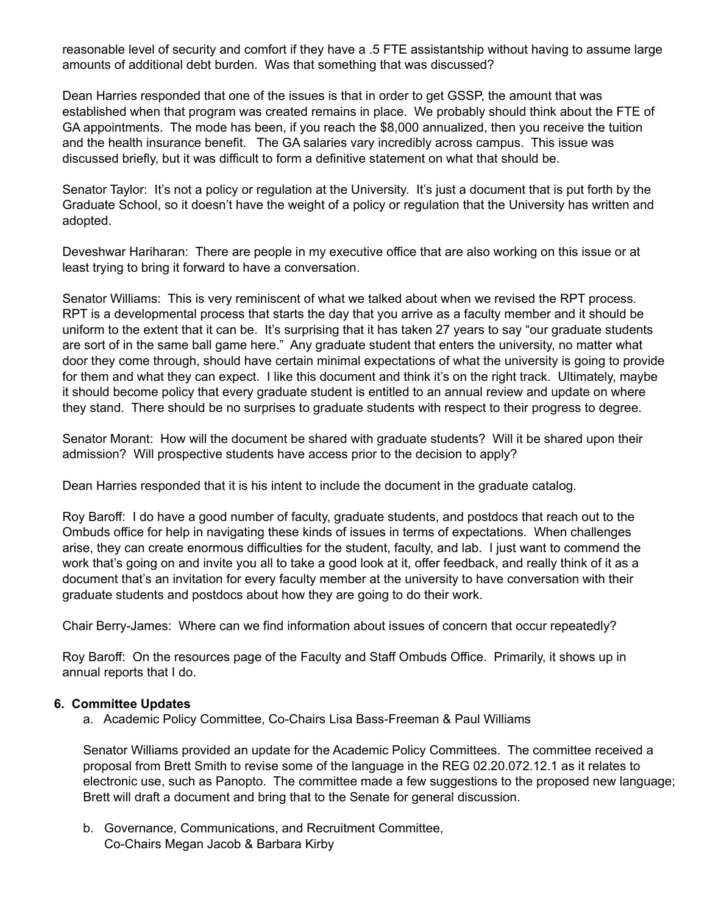reasonable level of security and comfort if they have a .5 FTE assistantship without having to assume large amounts of additional debt burden. Was that something that was discussed?

Dean Harries responded that one of the issues is that in order to get GSSP, the amount that was established when that program was created remains in place. We probably should think about the FTE of GA appointments. The mode has been, if you reach the \$8,000 annualized, then you receive the tuition and the health insurance benefit. The GA salaries vary incredibly across campus. This issue was discussed briefly, but it was difficult to form a definitive statement on what that should be.

Senator Taylor: It's not a policy or regulation at the University. It's just a document that is put forth by the Graduate School, so it doesn't have the weight of a policy or regulation that the University has written and adopted.

Deveshwar Hariharan: There are people in my executive office that are also working on this issue or at least trying to bring it forward to have a conversation.

Senator Williams: This is very reminiscent of what we talked about when we revised the RPT process. RPT is a developmental process that starts the day that you arrive as a faculty member and it should be uniform to the extent that it can be. It's surprising that it has taken 27 years to say "our graduate students are sort of in the same ball game here." Any graduate student that enters the university, no matter what door they come through, should have certain minimal expectations of what the university is going to provide for them and what they can expect. I like this document and think it's on the right track. Ultimately, maybe it should become policy that every graduate student is entitled to an annual review and update on where they stand. There should be no surprises to graduate students with respect to their progress to degree.

Senator Morant: How will the document be shared with graduate students? Will it be shared upon their admission? Will prospective students have access prior to the decision to apply?

Dean Harries responded that it is his intent to include the document in the graduate catalog.

Roy Baroff: I do have a good number of faculty, graduate students, and postdocs that reach out to the Ombuds office for help in navigating these kinds of issues in terms of expectations. When challenges arise, they can create enormous difficulties for the student, faculty, and lab. I just want to commend the work that's going on and invite you all to take a good look at it, offer feedback, and really think of it as a document that's an invitation for every faculty member at the university to have conversation with their graduate students and postdocs about how they are going to do their work.

Chair Berry-James: Where can we find information about issues of concern that occur repeatedly?

Roy Baroff: On the resources page of the Faculty and Staff Ombuds Office. Primarily, it shows up in annual reports that I do.

#### **6. Committee Updates**

a. Academic Policy Committee, Co-Chairs Lisa Bass-Freeman & Paul Williams

Senator Williams provided an update for the Academic Policy Committees. The committee received a proposal from Brett Smith to revise some of the language in the REG 02.20.072.12.1 as it relates to electronic use, such as Panopto. The committee made a few suggestions to the proposed new language; Brett will draft a document and bring that to the Senate for general discussion.

b. Governance, Communications, and Recruitment Committee, Co-Chairs Megan Jacob & Barbara Kirby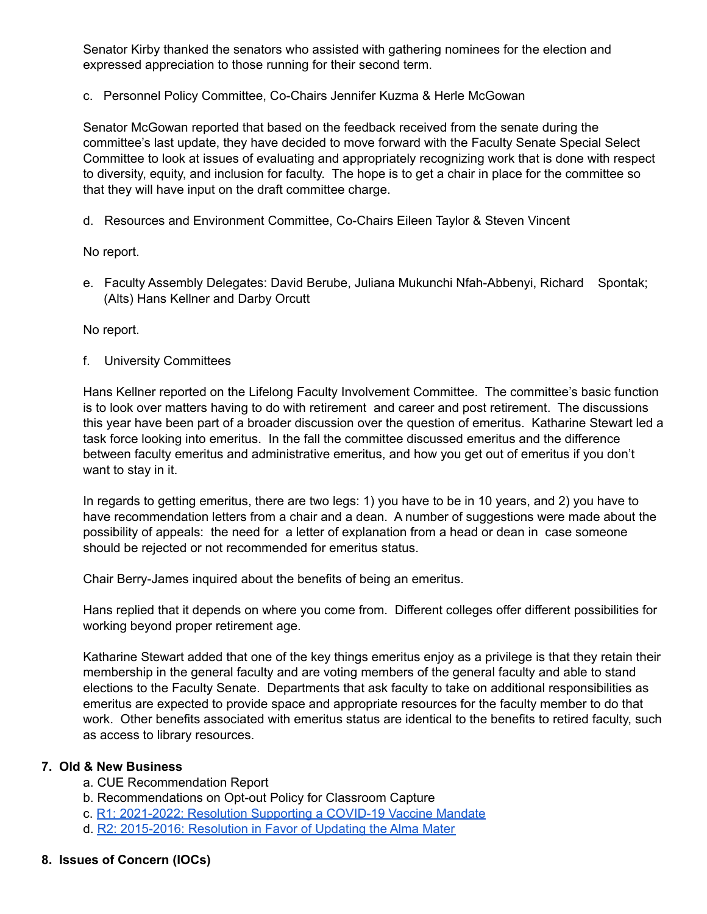Senator Kirby thanked the senators who assisted with gathering nominees for the election and expressed appreciation to those running for their second term.

c. Personnel Policy Committee, Co-Chairs Jennifer Kuzma & Herle McGowan

Senator McGowan reported that based on the feedback received from the senate during the committee's last update, they have decided to move forward with the Faculty Senate Special Select Committee to look at issues of evaluating and appropriately recognizing work that is done with respect to diversity, equity, and inclusion for faculty. The hope is to get a chair in place for the committee so that they will have input on the draft committee charge.

d. Resources and Environment Committee, Co-Chairs Eileen Taylor & Steven Vincent

No report.

e. Faculty Assembly Delegates: David Berube, Juliana Mukunchi Nfah-Abbenyi, Richard Spontak; (Alts) Hans Kellner and Darby Orcutt

No report.

f. University Committees

Hans Kellner reported on the Lifelong Faculty Involvement Committee. The committee's basic function is to look over matters having to do with retirement and career and post retirement. The discussions this year have been part of a broader discussion over the question of emeritus. Katharine Stewart led a task force looking into emeritus. In the fall the committee discussed emeritus and the difference between faculty emeritus and administrative emeritus, and how you get out of emeritus if you don't want to stay in it.

In regards to getting emeritus, there are two legs: 1) you have to be in 10 years, and 2) you have to have recommendation letters from a chair and a dean. A number of suggestions were made about the possibility of appeals: the need for a letter of explanation from a head or dean in case someone should be rejected or not recommended for emeritus status.

Chair Berry-James inquired about the benefits of being an emeritus.

Hans replied that it depends on where you come from. Different colleges offer different possibilities for working beyond proper retirement age.

Katharine Stewart added that one of the key things emeritus enjoy as a privilege is that they retain their membership in the general faculty and are voting members of the general faculty and able to stand elections to the Faculty Senate. Departments that ask faculty to take on additional responsibilities as emeritus are expected to provide space and appropriate resources for the faculty member to do that work. Other benefits associated with emeritus status are identical to the benefits to retired faculty, such as access to library resources.

#### **7. Old & New Business**

- a. CUE Recommendation Report
- b. Recommendations on Opt-out Policy for Classroom Capture
- c. R1: 2021-2022: Resolution Supporting a COVID-19 Vaccine Mandate
- d. R2: 2015-2016: Resolution in Favor of Updating the Alma Mater
- **8. Issues of Concern (IOCs)**